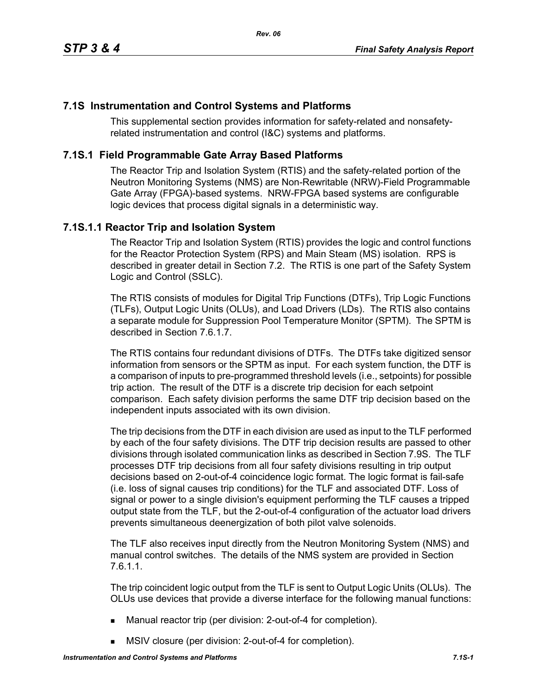### **7.1S Instrumentation and Control Systems and Platforms**

This supplemental section provides information for safety-related and nonsafetyrelated instrumentation and control (I&C) systems and platforms.

## **7.1S.1 Field Programmable Gate Array Based Platforms**

The Reactor Trip and Isolation System (RTIS) and the safety-related portion of the Neutron Monitoring Systems (NMS) are Non-Rewritable (NRW)-Field Programmable Gate Array (FPGA)-based systems. NRW-FPGA based systems are configurable logic devices that process digital signals in a deterministic way.

### **7.1S.1.1 Reactor Trip and Isolation System**

The Reactor Trip and Isolation System (RTIS) provides the logic and control functions for the Reactor Protection System (RPS) and Main Steam (MS) isolation. RPS is described in greater detail in Section 7.2. The RTIS is one part of the Safety System Logic and Control (SSLC).

The RTIS consists of modules for Digital Trip Functions (DTFs), Trip Logic Functions (TLFs), Output Logic Units (OLUs), and Load Drivers (LDs). The RTIS also contains a separate module for Suppression Pool Temperature Monitor (SPTM). The SPTM is described in Section 7.6.1.7.

The RTIS contains four redundant divisions of DTFs. The DTFs take digitized sensor information from sensors or the SPTM as input. For each system function, the DTF is a comparison of inputs to pre-programmed threshold levels (i.e., setpoints) for possible trip action. The result of the DTF is a discrete trip decision for each setpoint comparison. Each safety division performs the same DTF trip decision based on the independent inputs associated with its own division.

The trip decisions from the DTF in each division are used as input to the TLF performed by each of the four safety divisions. The DTF trip decision results are passed to other divisions through isolated communication links as described in Section 7.9S. The TLF processes DTF trip decisions from all four safety divisions resulting in trip output decisions based on 2-out-of-4 coincidence logic format. The logic format is fail-safe (i.e. loss of signal causes trip conditions) for the TLF and associated DTF. Loss of signal or power to a single division's equipment performing the TLF causes a tripped output state from the TLF, but the 2-out-of-4 configuration of the actuator load drivers prevents simultaneous deenergization of both pilot valve solenoids.

The TLF also receives input directly from the Neutron Monitoring System (NMS) and manual control switches. The details of the NMS system are provided in Section 7.6.1.1.

The trip coincident logic output from the TLF is sent to Output Logic Units (OLUs). The OLUs use devices that provide a diverse interface for the following manual functions:

- Manual reactor trip (per division: 2-out-of-4 for completion).
- **MSIV** closure (per division: 2-out-of-4 for completion).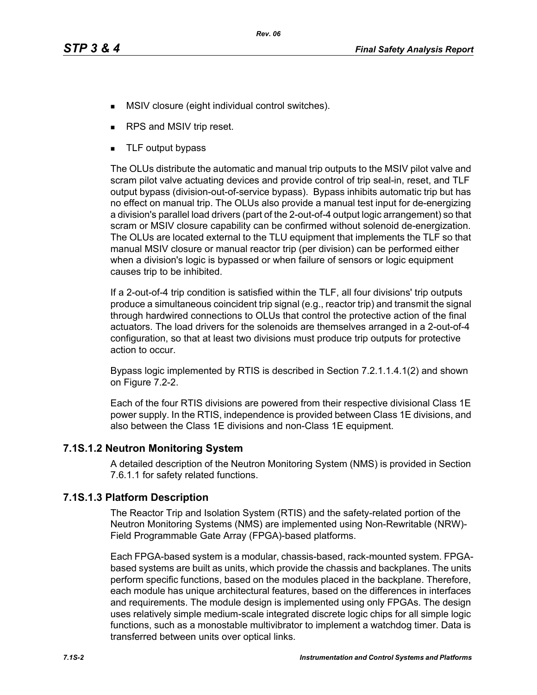- **MSIV** closure (eight individual control switches).
- RPS and MSIV trip reset.
- **TLF** output bypass

The OLUs distribute the automatic and manual trip outputs to the MSIV pilot valve and scram pilot valve actuating devices and provide control of trip seal-in, reset, and TLF output bypass (division-out-of-service bypass). Bypass inhibits automatic trip but has no effect on manual trip. The OLUs also provide a manual test input for de-energizing a division's parallel load drivers (part of the 2-out-of-4 output logic arrangement) so that scram or MSIV closure capability can be confirmed without solenoid de-energization. The OLUs are located external to the TLU equipment that implements the TLF so that manual MSIV closure or manual reactor trip (per division) can be performed either when a division's logic is bypassed or when failure of sensors or logic equipment causes trip to be inhibited.

If a 2-out-of-4 trip condition is satisfied within the TLF, all four divisions' trip outputs produce a simultaneous coincident trip signal (e.g., reactor trip) and transmit the signal through hardwired connections to OLUs that control the protective action of the final actuators. The load drivers for the solenoids are themselves arranged in a 2-out-of-4 configuration, so that at least two divisions must produce trip outputs for protective action to occur.

Bypass logic implemented by RTIS is described in Section 7.2.1.1.4.1(2) and shown on Figure 7.2-2.

Each of the four RTIS divisions are powered from their respective divisional Class 1E power supply. In the RTIS, independence is provided between Class 1E divisions, and also between the Class 1E divisions and non-Class 1E equipment.

### **7.1S.1.2 Neutron Monitoring System**

A detailed description of the Neutron Monitoring System (NMS) is provided in Section 7.6.1.1 for safety related functions.

### **7.1S.1.3 Platform Description**

The Reactor Trip and Isolation System (RTIS) and the safety-related portion of the Neutron Monitoring Systems (NMS) are implemented using Non-Rewritable (NRW)- Field Programmable Gate Array (FPGA)-based platforms.

Each FPGA-based system is a modular, chassis-based, rack-mounted system. FPGAbased systems are built as units, which provide the chassis and backplanes. The units perform specific functions, based on the modules placed in the backplane. Therefore, each module has unique architectural features, based on the differences in interfaces and requirements. The module design is implemented using only FPGAs. The design uses relatively simple medium-scale integrated discrete logic chips for all simple logic functions, such as a monostable multivibrator to implement a watchdog timer. Data is transferred between units over optical links.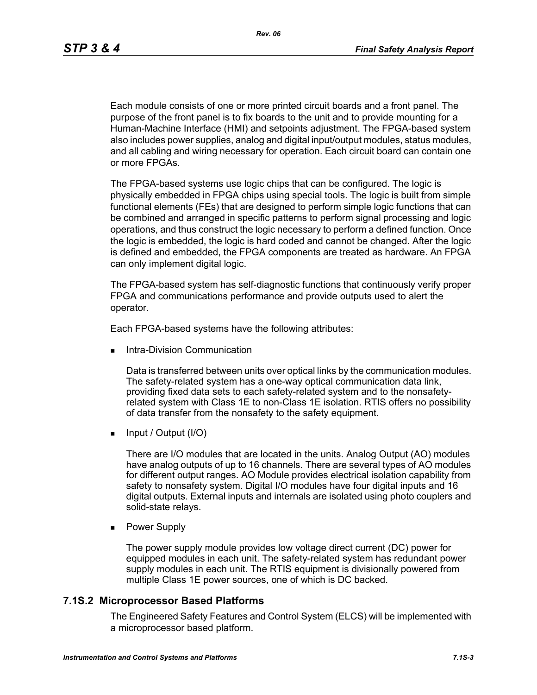Each module consists of one or more printed circuit boards and a front panel. The purpose of the front panel is to fix boards to the unit and to provide mounting for a Human-Machine Interface (HMI) and setpoints adjustment. The FPGA-based system also includes power supplies, analog and digital input/output modules, status modules, and all cabling and wiring necessary for operation. Each circuit board can contain one or more FPGAs.

The FPGA-based systems use logic chips that can be configured. The logic is physically embedded in FPGA chips using special tools. The logic is built from simple functional elements (FEs) that are designed to perform simple logic functions that can be combined and arranged in specific patterns to perform signal processing and logic operations, and thus construct the logic necessary to perform a defined function. Once the logic is embedded, the logic is hard coded and cannot be changed. After the logic is defined and embedded, the FPGA components are treated as hardware. An FPGA can only implement digital logic.

The FPGA-based system has self-diagnostic functions that continuously verify proper FPGA and communications performance and provide outputs used to alert the operator.

Each FPGA-based systems have the following attributes:

Intra-Division Communication

Data is transferred between units over optical links by the communication modules. The safety-related system has a one-way optical communication data link, providing fixed data sets to each safety-related system and to the nonsafetyrelated system with Class 1E to non-Class 1E isolation. RTIS offers no possibility of data transfer from the nonsafety to the safety equipment.

 $\blacksquare$  Input / Output (I/O)

There are I/O modules that are located in the units. Analog Output (AO) modules have analog outputs of up to 16 channels. There are several types of AO modules for different output ranges. AO Module provides electrical isolation capability from safety to nonsafety system. Digital I/O modules have four digital inputs and 16 digital outputs. External inputs and internals are isolated using photo couplers and solid-state relays.

**Power Supply** 

The power supply module provides low voltage direct current (DC) power for equipped modules in each unit. The safety-related system has redundant power supply modules in each unit. The RTIS equipment is divisionally powered from multiple Class 1E power sources, one of which is DC backed.

#### **7.1S.2 Microprocessor Based Platforms**

The Engineered Safety Features and Control System (ELCS) will be implemented with a microprocessor based platform.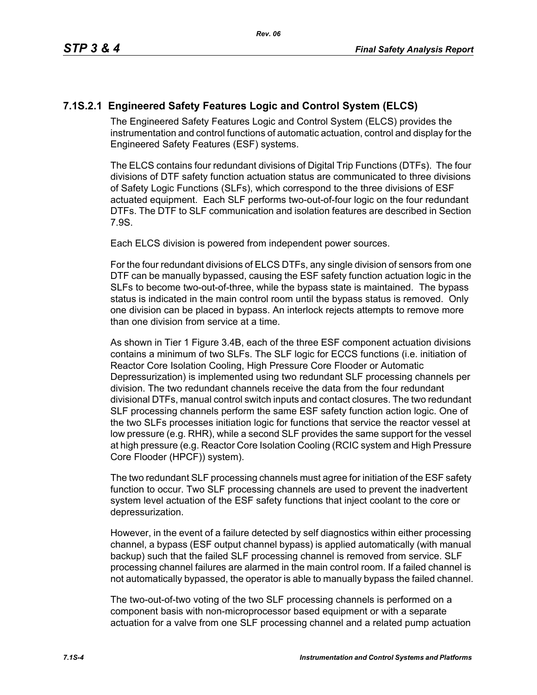# **7.1S.2.1 Engineered Safety Features Logic and Control System (ELCS)**

The Engineered Safety Features Logic and Control System (ELCS) provides the instrumentation and control functions of automatic actuation, control and display for the Engineered Safety Features (ESF) systems.

The ELCS contains four redundant divisions of Digital Trip Functions (DTFs). The four divisions of DTF safety function actuation status are communicated to three divisions of Safety Logic Functions (SLFs), which correspond to the three divisions of ESF actuated equipment. Each SLF performs two-out-of-four logic on the four redundant DTFs. The DTF to SLF communication and isolation features are described in Section 7.9S.

Each ELCS division is powered from independent power sources.

For the four redundant divisions of ELCS DTFs, any single division of sensors from one DTF can be manually bypassed, causing the ESF safety function actuation logic in the SLFs to become two-out-of-three, while the bypass state is maintained. The bypass status is indicated in the main control room until the bypass status is removed. Only one division can be placed in bypass. An interlock rejects attempts to remove more than one division from service at a time.

As shown in Tier 1 Figure 3.4B, each of the three ESF component actuation divisions contains a minimum of two SLFs. The SLF logic for ECCS functions (i.e. initiation of Reactor Core Isolation Cooling, High Pressure Core Flooder or Automatic Depressurization) is implemented using two redundant SLF processing channels per division. The two redundant channels receive the data from the four redundant divisional DTFs, manual control switch inputs and contact closures. The two redundant SLF processing channels perform the same ESF safety function action logic. One of the two SLFs processes initiation logic for functions that service the reactor vessel at low pressure (e.g. RHR), while a second SLF provides the same support for the vessel at high pressure (e.g. Reactor Core Isolation Cooling (RCIC system and High Pressure Core Flooder (HPCF)) system).

The two redundant SLF processing channels must agree for initiation of the ESF safety function to occur. Two SLF processing channels are used to prevent the inadvertent system level actuation of the ESF safety functions that inject coolant to the core or depressurization.

However, in the event of a failure detected by self diagnostics within either processing channel, a bypass (ESF output channel bypass) is applied automatically (with manual backup) such that the failed SLF processing channel is removed from service. SLF processing channel failures are alarmed in the main control room. If a failed channel is not automatically bypassed, the operator is able to manually bypass the failed channel.

The two-out-of-two voting of the two SLF processing channels is performed on a component basis with non-microprocessor based equipment or with a separate actuation for a valve from one SLF processing channel and a related pump actuation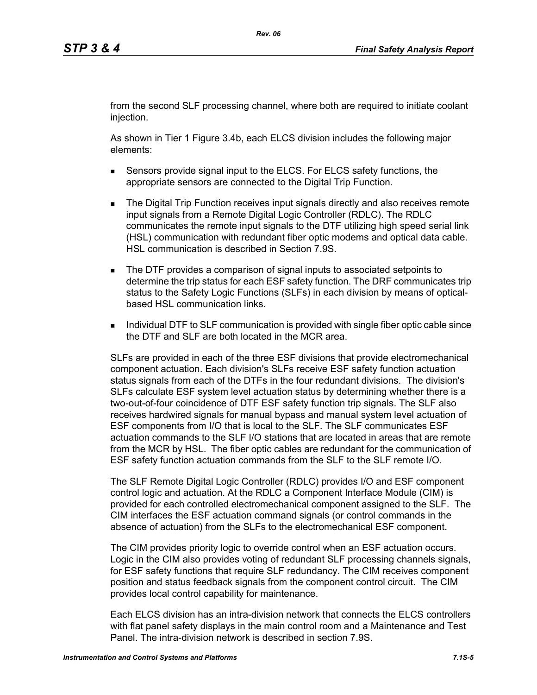from the second SLF processing channel, where both are required to initiate coolant injection.

As shown in Tier 1 Figure 3.4b, each ELCS division includes the following major elements:

- Sensors provide signal input to the ELCS. For ELCS safety functions, the appropriate sensors are connected to the Digital Trip Function.
- **The Digital Trip Function receives input signals directly and also receives remote** input signals from a Remote Digital Logic Controller (RDLC). The RDLC communicates the remote input signals to the DTF utilizing high speed serial link (HSL) communication with redundant fiber optic modems and optical data cable. HSL communication is described in Section 7.9S.
- The DTF provides a comparison of signal inputs to associated setpoints to determine the trip status for each ESF safety function. The DRF communicates trip status to the Safety Logic Functions (SLFs) in each division by means of opticalbased HSL communication links.
- **Individual DTF to SLF communication is provided with single fiber optic cable since** the DTF and SLF are both located in the MCR area.

SLFs are provided in each of the three ESF divisions that provide electromechanical component actuation. Each division's SLFs receive ESF safety function actuation status signals from each of the DTFs in the four redundant divisions. The division's SLFs calculate ESF system level actuation status by determining whether there is a two-out-of-four coincidence of DTF ESF safety function trip signals. The SLF also receives hardwired signals for manual bypass and manual system level actuation of ESF components from I/O that is local to the SLF. The SLF communicates ESF actuation commands to the SLF I/O stations that are located in areas that are remote from the MCR by HSL. The fiber optic cables are redundant for the communication of ESF safety function actuation commands from the SLF to the SLF remote I/O.

The SLF Remote Digital Logic Controller (RDLC) provides I/O and ESF component control logic and actuation. At the RDLC a Component Interface Module (CIM) is provided for each controlled electromechanical component assigned to the SLF. The CIM interfaces the ESF actuation command signals (or control commands in the absence of actuation) from the SLFs to the electromechanical ESF component.

The CIM provides priority logic to override control when an ESF actuation occurs. Logic in the CIM also provides voting of redundant SLF processing channels signals, for ESF safety functions that require SLF redundancy. The CIM receives component position and status feedback signals from the component control circuit. The CIM provides local control capability for maintenance.

Each ELCS division has an intra-division network that connects the ELCS controllers with flat panel safety displays in the main control room and a Maintenance and Test Panel. The intra-division network is described in section 7.9S.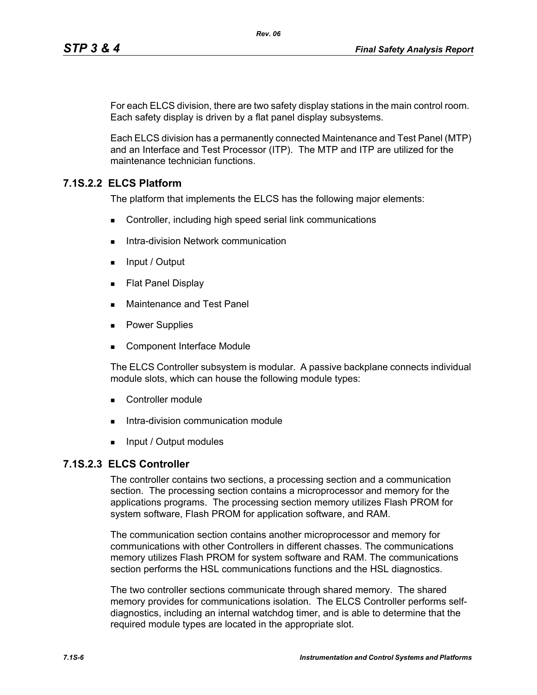For each ELCS division, there are two safety display stations in the main control room. Each safety display is driven by a flat panel display subsystems.

Each ELCS division has a permanently connected Maintenance and Test Panel (MTP) and an Interface and Test Processor (ITP). The MTP and ITP are utilized for the maintenance technician functions.

# **7.1S.2.2 ELCS Platform**

The platform that implements the ELCS has the following major elements:

- Controller, including high speed serial link communications
- Intra-division Network communication
- $\blacksquare$  Input / Output
- **Flat Panel Display**
- **Maintenance and Test Panel**
- **Power Supplies**
- Component Interface Module

The ELCS Controller subsystem is modular. A passive backplane connects individual module slots, which can house the following module types:

- Controller module
- Intra-division communication module
- **Input / Output modules**

### **7.1S.2.3 ELCS Controller**

The controller contains two sections, a processing section and a communication section. The processing section contains a microprocessor and memory for the applications programs. The processing section memory utilizes Flash PROM for system software, Flash PROM for application software, and RAM.

The communication section contains another microprocessor and memory for communications with other Controllers in different chasses. The communications memory utilizes Flash PROM for system software and RAM. The communications section performs the HSL communications functions and the HSL diagnostics.

The two controller sections communicate through shared memory. The shared memory provides for communications isolation. The ELCS Controller performs selfdiagnostics, including an internal watchdog timer, and is able to determine that the required module types are located in the appropriate slot.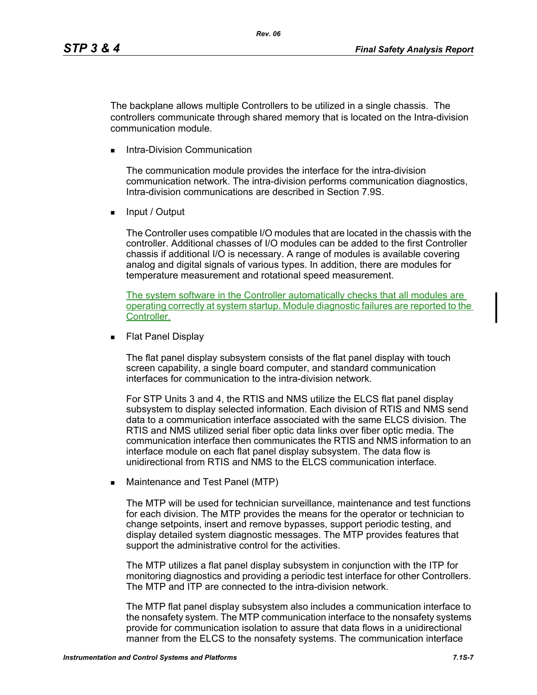The backplane allows multiple Controllers to be utilized in a single chassis. The controllers communicate through shared memory that is located on the Intra-division communication module.

Intra-Division Communication

The communication module provides the interface for the intra-division communication network. The intra-division performs communication diagnostics, Intra-division communications are described in Section 7.9S.

**Input / Output** 

The Controller uses compatible I/O modules that are located in the chassis with the controller. Additional chasses of I/O modules can be added to the first Controller chassis if additional I/O is necessary. A range of modules is available covering analog and digital signals of various types. In addition, there are modules for temperature measurement and rotational speed measurement.

The system software in the Controller automatically checks that all modules are operating correctly at system startup. Module diagnostic failures are reported to the Controller.

**Flat Panel Display** 

The flat panel display subsystem consists of the flat panel display with touch screen capability, a single board computer, and standard communication interfaces for communication to the intra-division network.

For STP Units 3 and 4, the RTIS and NMS utilize the ELCS flat panel display subsystem to display selected information. Each division of RTIS and NMS send data to a communication interface associated with the same ELCS division. The RTIS and NMS utilized serial fiber optic data links over fiber optic media. The communication interface then communicates the RTIS and NMS information to an interface module on each flat panel display subsystem. The data flow is unidirectional from RTIS and NMS to the ELCS communication interface.

**Maintenance and Test Panel (MTP)** 

The MTP will be used for technician surveillance, maintenance and test functions for each division. The MTP provides the means for the operator or technician to change setpoints, insert and remove bypasses, support periodic testing, and display detailed system diagnostic messages. The MTP provides features that support the administrative control for the activities.

The MTP utilizes a flat panel display subsystem in conjunction with the ITP for monitoring diagnostics and providing a periodic test interface for other Controllers. The MTP and ITP are connected to the intra-division network.

The MTP flat panel display subsystem also includes a communication interface to the nonsafety system. The MTP communication interface to the nonsafety systems provide for communication isolation to assure that data flows in a unidirectional manner from the ELCS to the nonsafety systems. The communication interface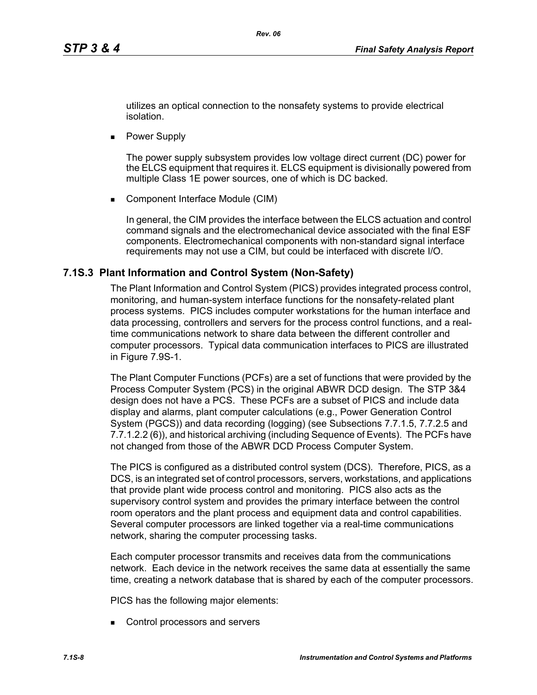utilizes an optical connection to the nonsafety systems to provide electrical isolation.

**Power Supply** 

The power supply subsystem provides low voltage direct current (DC) power for the ELCS equipment that requires it. ELCS equipment is divisionally powered from multiple Class 1E power sources, one of which is DC backed.

■ Component Interface Module (CIM)

In general, the CIM provides the interface between the ELCS actuation and control command signals and the electromechanical device associated with the final ESF components. Electromechanical components with non-standard signal interface requirements may not use a CIM, but could be interfaced with discrete I/O.

### **7.1S.3 Plant Information and Control System (Non-Safety)**

The Plant Information and Control System (PICS) provides integrated process control, monitoring, and human-system interface functions for the nonsafety-related plant process systems. PICS includes computer workstations for the human interface and data processing, controllers and servers for the process control functions, and a realtime communications network to share data between the different controller and computer processors. Typical data communication interfaces to PICS are illustrated in Figure 7.9S-1.

The Plant Computer Functions (PCFs) are a set of functions that were provided by the Process Computer System (PCS) in the original ABWR DCD design. The STP 3&4 design does not have a PCS. These PCFs are a subset of PICS and include data display and alarms, plant computer calculations (e.g., Power Generation Control System (PGCS)) and data recording (logging) (see Subsections 7.7.1.5, 7.7.2.5 and 7.7.1.2.2 (6)), and historical archiving (including Sequence of Events). The PCFs have not changed from those of the ABWR DCD Process Computer System.

The PICS is configured as a distributed control system (DCS). Therefore, PICS, as a DCS, is an integrated set of control processors, servers, workstations, and applications that provide plant wide process control and monitoring. PICS also acts as the supervisory control system and provides the primary interface between the control room operators and the plant process and equipment data and control capabilities. Several computer processors are linked together via a real-time communications network, sharing the computer processing tasks.

Each computer processor transmits and receives data from the communications network. Each device in the network receives the same data at essentially the same time, creating a network database that is shared by each of the computer processors.

PICS has the following major elements:

Control processors and servers